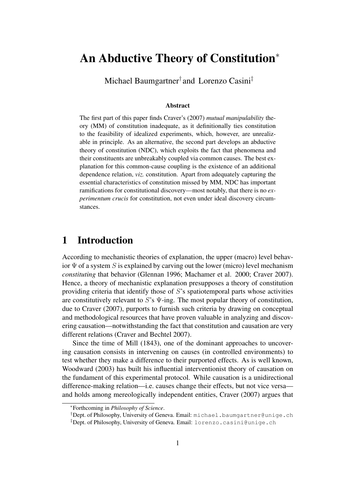# An Abductive Theory of Constitution<sup>∗</sup>

Michael Baumgartner† and Lorenzo Casini‡

#### Abstract

The first part of this paper finds Craver's [\(2007\)](#page-19-0) *mutual manipulability* theory (MM) of constitution inadequate, as it definitionally ties constitution to the feasibility of idealized experiments, which, however, are unrealizable in principle. As an alternative, the second part develops an abductive theory of constitution (NDC), which exploits the fact that phenomena and their constituents are unbreakably coupled via common causes. The best explanation for this common-cause coupling is the existence of an additional dependence relation, *viz.* constitution. Apart from adequately capturing the essential characteristics of constitution missed by MM, NDC has important ramifications for constitutional discovery—most notably, that there is no *experimentum crucis* for constitution, not even under ideal discovery circumstances.

# 1 Introduction

According to mechanistic theories of explanation, the upper (macro) level behavior  $\Psi$  of a system S is explained by carving out the lower (micro) level mechanism *constituting* that behavior [\(Glennan 1996;](#page-19-1) [Machamer et al. 2000;](#page-19-2) [Craver 2007\)](#page-19-0). Hence, a theory of mechanistic explanation presupposes a theory of constitution providing criteria that identify those of S's spatiotemporal parts whose activities are constitutively relevant to S's  $\Psi$ -ing. The most popular theory of constitution, due to [Craver \(2007\)](#page-19-0), purports to furnish such criteria by drawing on conceptual and methodological resources that have proven valuable in analyzing and discovering causation—notwithstanding the fact that constitution and causation are very different relations [\(Craver and Bechtel 2007\)](#page-19-3).

Since the time of [Mill \(1843\)](#page-19-4), one of the dominant approaches to uncovering causation consists in intervening on causes (in controlled environments) to test whether they make a difference to their purported effects. As is well known, [Woodward \(2003\)](#page-19-5) has built his influential interventionist theory of causation on the fundament of this experimental protocol. While causation is a unidirectional difference-making relation—i.e. causes change their effects, but not vice versa and holds among mereologically independent entities, [Craver \(2007\)](#page-19-0) argues that

<sup>∗</sup>Forthcoming in *Philosophy of Science*.

<sup>&</sup>lt;sup>†</sup>Dept. of Philosophy, University of Geneva. Email: michael.baumgartner@unige.ch

<sup>‡</sup>Dept. of Philosophy, University of Geneva. Email: lorenzo.casini@unige.ch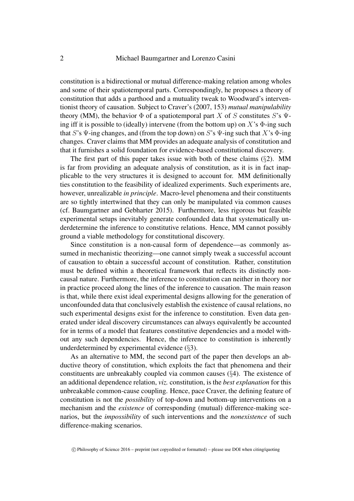constitution is a bidirectional or mutual difference-making relation among wholes and some of their spatiotemporal parts. Correspondingly, he proposes a theory of constitution that adds a parthood and a mutuality tweak to Woodward's interventionist theory of causation. Subject to Craver's [\(2007,](#page-19-0) 153) *mutual manipulability* theory (MM), the behavior  $\Phi$  of a spatiotemporal part X of S constitutes S's  $\Psi$ ing iff it is possible to (ideally) intervene (from the bottom up) on  $X$ 's  $\Phi$ -ing such that S's  $\Psi$ -ing changes, and (from the top down) on S's  $\Psi$ -ing such that X's  $\Phi$ -ing changes. Craver claims that MM provides an adequate analysis of constitution and that it furnishes a solid foundation for evidence-based constitutional discovery.

The first part of this paper takes issue with both of these claims  $(\S2)$  $(\S2)$ . MM is far from providing an adequate analysis of constitution, as it is in fact inapplicable to the very structures it is designed to account for. MM definitionally ties constitution to the feasibility of idealized experiments. Such experiments are, however, unrealizable *in principle*. Macro-level phenomena and their constituents are so tightly intertwined that they can only be manipulated via common causes (cf. [Baumgartner and Gebharter 2015\)](#page-18-0). Furthermore, less rigorous but feasible experimental setups inevitably generate confounded data that systematically underdetermine the inference to constitutive relations. Hence, MM cannot possibly ground a viable methodology for constitutional discovery.

Since constitution is a non-causal form of dependence—as commonly assumed in mechanistic theorizing—one cannot simply tweak a successful account of causation to obtain a successful account of constitution. Rather, constitution must be defined within a theoretical framework that reflects its distinctly noncausal nature. Furthermore, the inference to constitution can neither in theory nor in practice proceed along the lines of the inference to causation. The main reason is that, while there exist ideal experimental designs allowing for the generation of unconfounded data that conclusively establish the existence of causal relations, no such experimental designs exist for the inference to constitution. Even data generated under ideal discovery circumstances can always equivalently be accounted for in terms of a model that features constitutive dependencies and a model without any such dependencies. Hence, the inference to constitution is inherently underdetermined by experimental evidence (§[3\)](#page-7-0).

As an alternative to MM, the second part of the paper then develops an abductive theory of constitution, which exploits the fact that phenomena and their constituents are unbreakably coupled via common causes (§[4\)](#page-11-0). The existence of an additional dependence relation, *viz.* constitution, is the *best explanation* for this unbreakable common-cause coupling. Hence, pace Craver, the defining feature of constitution is not the *possibility* of top-down and bottom-up interventions on a mechanism and the *existence* of corresponding (mutual) difference-making scenarios, but the *impossibility* of such interventions and the *nonexistence* of such difference-making scenarios.

c Philosophy of Science 2016 – preprint (not copyedited or formatted) – please use DOI when citing/quoting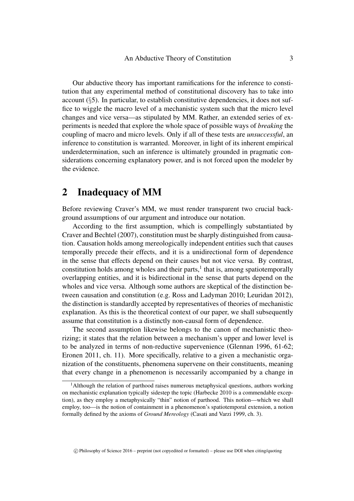Our abductive theory has important ramifications for the inference to constitution that any experimental method of constitutional discovery has to take into account  $(\xi 5)$  $(\xi 5)$ . In particular, to establish constitutive dependencies, it does not suffice to wiggle the macro level of a mechanistic system such that the micro level changes and vice versa—as stipulated by MM. Rather, an extended series of experiments is needed that explore the whole space of possible ways of *breaking* the coupling of macro and micro levels. Only if all of these tests are *unsuccessful*, an inference to constitution is warranted. Moreover, in light of its inherent empirical underdetermination, such an inference is ultimately grounded in pragmatic considerations concerning explanatory power, and is not forced upon the modeler by the evidence.

### <span id="page-2-0"></span>2 Inadequacy of MM

Before reviewing Craver's MM, we must render transparent two crucial background assumptions of our argument and introduce our notation.

According to the first assumption, which is compellingly substantiated by [Craver and Bechtel \(2007\)](#page-19-3), constitution must be sharply distinguished from causation. Causation holds among mereologically independent entities such that causes temporally precede their effects, and it is a unidirectional form of dependence in the sense that effects depend on their causes but not vice versa. By contrast, constitution holds among wholes and their parts, $<sup>1</sup>$  $<sup>1</sup>$  $<sup>1</sup>$  that is, among spatiotemporally</sup> overlapping entities, and it is bidirectional in the sense that parts depend on the wholes and vice versa. Although some authors are skeptical of the distinction between causation and constitution (e.g. [Ross and Ladyman 2010;](#page-19-6) [Leuridan 2012\)](#page-19-7), the distinction is standardly accepted by representatives of theories of mechanistic explanation. As this is the theoretical context of our paper, we shall subsequently assume that constitution is a distinctly non-causal form of dependence.

The second assumption likewise belongs to the canon of mechanistic theorizing; it states that the relation between a mechanism's upper and lower level is to be analyzed in terms of non-reductive supervenience [\(Glennan 1996,](#page-19-1) 61-62; [Eronen 2011,](#page-19-8) ch. 11). More specifically, relative to a given a mechanistic organization of the constituents, phenomena supervene on their constituents, meaning that every change in a phenomenon is necessarily accompanied by a change in

 $\degree$  Philosophy of Science 2016 – preprint (not copyedited or formatted) – please use DOI when citing/quoting

<span id="page-2-1"></span><sup>&</sup>lt;sup>1</sup>Although the relation of parthood raises numerous metaphysical questions, authors working on mechanistic explanation typically sidestep the topic [\(Harbecke 2010](#page-19-9) is a commendable exception), as they employ a metaphysically "thin" notion of parthood. This notion—which we shall employ, too—is the notion of containment in a phenomenon's spatiotemporal extension, a notion formally defined by the axioms of *Ground Mereology* (Casati and Varzi [1999,](#page-18-1) ch. 3).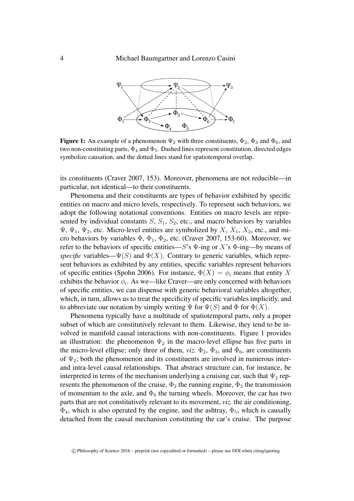<span id="page-3-0"></span>

**Figure 1:** An example of a phenomenon  $\Psi_2$  with three constituents,  $\Phi_2$ ,  $\Phi_3$  and  $\Phi_6$ , and two non-constituting parts,  $\Phi_4$  and  $\Phi_5$ . Dashed lines represent constitution, directed edges symbolize causation, and the dotted lines stand for spatiotemporal overlap.

its constituents [\(Craver 2007,](#page-19-0) 153). Moreover, phenomena are not reducible—in particular, not identical—to their constituents.

Phenomena and their constituents are types of behavior exhibited by specific entities on macro and micro levels, respectively. To represent such behaviors, we adopt the following notational conventions. Entities on macro levels are represented by individual constants  $S$ ,  $S_1$ ,  $S_2$ , etc., and macro behaviors by variables  $\Psi$ ,  $\Psi_1$ ,  $\Psi_2$ , etc. Micro-level entities are symbolized by X,  $X_1$ ,  $X_2$ , etc., and micro behaviors by variables  $\Phi$ ,  $\Phi_1$ ,  $\Phi_2$ , etc. [\(Craver 2007,](#page-19-0) 153-60). Moreover, we refer to the behaviors of specific entities—S's  $\Psi$ -ing or X's  $\Phi$ -ing—by means of *specific* variables— $\Psi(S)$  and  $\Phi(X)$ . Contrary to generic variables, which represent behaviors as exhibited by any entities, specific variables represent behaviors of specific entities [\(Spohn 2006\)](#page-19-10). For instance,  $\Phi(X) = \phi_i$  means that entity X exhibits the behavior  $\phi_i$ . As we—like Craver—are only concerned with behaviors of specific entities, we can dispense with generic behavioral variables altogether, which, in turn, allows us to treat the specificity of specific variables implicitly, and to abbreviate our notation by simply writing  $\Psi$  for  $\Psi(S)$  and  $\Phi$  for  $\Phi(X)$ .

Phenomena typically have a multitude of spatiotemporal parts, only a proper subset of which are constitutively relevant to them. Likewise, they tend to be involved in manifold causal interactions with non-constituents. Figure [1](#page-3-0) provides an illustration: the phenomenon  $\Psi_2$  in the macro-level ellipse has five parts in the micro-level ellipse; only three of them, *viz*.  $\Phi_2$ ,  $\Phi_3$ , and  $\Phi_6$ , are constituents of  $\Psi_2$ ; both the phenomenon and its constituents are involved in numerous interand intra-level causal relationships. That abstract structure can, for instance, be interpreted in terms of the mechanism underlying a cruising car, such that  $\Psi_2$  represents the phenomenon of the cruise,  $\Phi_2$  the running engine,  $\Phi_3$  the transmission of momentum to the axle, and  $\Phi_6$  the turning wheels. Moreover, the car has two parts that are not constitutively relevant to its movement, *viz.* the air conditioning,  $\Phi_4$ , which is also operated by the engine, and the ashtray,  $\Phi_5$ , which is causally detached from the causal mechanism constituting the car's cruise. The purpose

c Philosophy of Science 2016 – preprint (not copyedited or formatted) – please use DOI when citing/quoting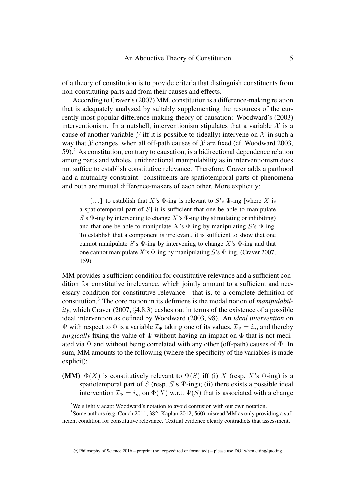of a theory of constitution is to provide criteria that distinguish constituents from non-constituting parts and from their causes and effects.

According to Craver's [\(2007\)](#page-19-0) MM, constitution is a difference-making relation that is adequately analyzed by suitably supplementing the resources of the currently most popular difference-making theory of causation: Woodward's [\(2003\)](#page-19-5) interventionism. In a nutshell, interventionism stipulates that a variable  $\mathcal X$  is a cause of another variable  $Y$  iff it is possible to (ideally) intervene on  $X$  in such a way that  $Y$  changes, when all off-path causes of  $Y$  are fixed (cf. [Woodward 2003,](#page-19-5) 59).[2](#page-4-0) As constitution, contrary to causation, is a bidirectional dependence relation among parts and wholes, unidirectional manipulability as in interventionism does not suffice to establish constitutive relevance. Therefore, Craver adds a parthood and a mutuality constraint: constituents are spatiotemporal parts of phenomena and both are mutual difference-makers of each other. More explicitly:

[...] to establish that X's  $\Phi$ -ing is relevant to S's  $\Psi$ -ing [where X is a spatiotemporal part of  $S$ ] it is sufficient that one be able to manipulate S's  $\Psi$ -ing by intervening to change X's  $\Phi$ -ing (by stimulating or inhibiting) and that one be able to manipulate X's  $\Phi$ -ing by manipulating S's  $\Psi$ -ing. To establish that a component is irrelevant, it is sufficient to show that one cannot manipulate S's  $\Psi$ -ing by intervening to change X's  $\Phi$ -ing and that one cannot manipulate X's  $\Phi$ -ing by manipulating S's  $\Psi$ -ing. [\(Craver 2007,](#page-19-0) 159)

MM provides a sufficient condition for constitutive relevance and a sufficient condition for constitutive irrelevance, which jointly amount to a sufficient and necessary condition for constitutive relevance—that is, to a complete definition of constitution.[3](#page-4-1) The core notion in its definiens is the modal notion of *manipulability*, which [Craver \(2007,](#page-19-0) §4.8.3) cashes out in terms of the existence of a possible ideal intervention as defined by [Woodward \(2003,](#page-19-5) 98). An *ideal intervention* on Ψ with respect to Φ is a variable  $\mathcal{I}_{\Psi}$  taking one of its values,  $\mathcal{I}_{\Psi} = i_n$ , and thereby *surgically* fixing the value of  $\Psi$  without having an impact on  $\Phi$  that is not mediated via  $\Psi$  and without being correlated with any other (off-path) causes of  $\Phi$ . In sum, MM amounts to the following (where the specificity of the variables is made explicit):

<span id="page-4-2"></span>(MM)  $\Phi(X)$  is constitutively relevant to  $\Psi(S)$  iff (i) X (resp. X's  $\Phi$ -ing) is a spatiotemporal part of S (resp. S's  $\Psi$ -ing); (ii) there exists a possible ideal intervention  $\mathcal{I}_{\Phi} = i_m$  on  $\Phi(X)$  w.r.t.  $\Psi(S)$  that is associated with a change

c Philosophy of Science 2016 – preprint (not copyedited or formatted) – please use DOI when citing/quoting

<span id="page-4-1"></span><span id="page-4-0"></span><sup>2</sup>We slightly adapt Woodward's notation to avoid confusion with our own notation.

<sup>&</sup>lt;sup>3</sup>Some authors (e.g. [Couch 2011,](#page-18-2) 382; [Kaplan 2012,](#page-19-11) 560) misread MM as only providing a sufficient condition for constitutive relevance. Textual evidence clearly contradicts that assessment.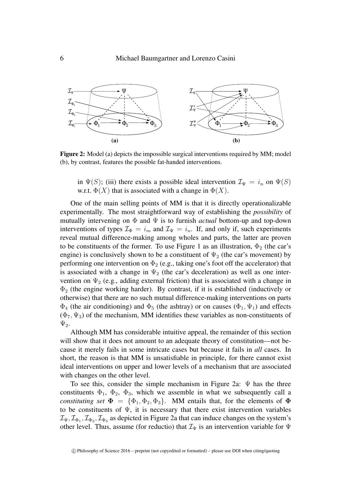<span id="page-5-0"></span>

Figure 2: Model (a) depicts the impossible surgical interventions required by [MM;](#page-4-2) model (b), by contrast, features the possible fat-handed interventions.

in  $\Psi(S)$ ; (iii) there exists a possible ideal intervention  $\mathcal{I}_{\Psi} = i_n$  on  $\Psi(S)$ w.r.t.  $\Phi(X)$  that is associated with a change in  $\Phi(X)$ .

One of the main selling points of [MM](#page-4-2) is that it is directly operationalizable experimentally. The most straightforward way of establishing the *possibility* of mutually intervening on Φ and Ψ is to furnish *actual* bottom-up and top-down interventions of types  $\mathcal{I}_{\Phi} = i_m$  and  $\mathcal{I}_{\Psi} = i_n$ . If, and only if, such experiments reveal mutual difference-making among wholes and parts, the latter are proven to be constituents of the former. To use Figure [1](#page-3-0) as an illustration,  $\Phi_2$  (the car's engine) is conclusively shown to be a constituent of  $\Psi_2$  (the car's movement) by performing one intervention on  $\Phi_2$  (e.g., taking one's foot off the accelerator) that is associated with a change in  $\Psi_2$  (the car's deceleration) as well as one intervention on  $\Psi_2$  (e.g., adding external friction) that is associated with a change in  $\Phi_2$  (the engine working harder). By contrast, if it is established (inductively or otherwise) that there are no such mutual difference-making interventions on parts  $\Phi_4$  (the air conditioning) and  $\Phi_5$  (the ashtray) or on causes  $(\Phi_1, \Psi_1)$  and effects  $(\Phi_7, \Psi_3)$  of the mechanism, [MM](#page-4-2) identifies these variables as non-constituents of  $\Psi_2$ .

Although [MM](#page-4-2) has considerable intuitive appeal, the remainder of this section will show that it does not amount to an adequate theory of constitution—not because it merely fails in some intricate cases but because it fails in *all* cases. In short, the reason is that [MM](#page-4-2) is unsatisfiable in principle, for there cannot exist ideal interventions on upper and lower levels of a mechanism that are associated with changes on the other level.

To see this, consider the simple mechanism in Figure [2a](#page-5-0):  $\Psi$  has the three constituents  $\Phi_1$ ,  $\Phi_2$ ,  $\Phi_3$ , which we assemble in what we subsequently call a *constituting set*  $\Phi = {\Phi_1, \Phi_2, \Phi_3}$ . [MM](#page-4-2) entails that, for the elements of  $\Phi$ to be constituents of  $\Psi$ , it is necessary that there exist intervention variables  $\mathcal{I}_{\Psi},\mathcal{I}_{\Phi_1},\mathcal{I}_{\Phi_2},\mathcal{I}_{\Phi_3}$  as depicted in Figure [2a](#page-5-0) that can induce changes on the system's other level. Thus, assume (for reductio) that  $\mathcal{I}_{\Psi}$  is an intervention variable for  $\Psi$ 

 $\degree$  Philosophy of Science 2016 – preprint (not copyedited or formatted) – please use DOI when citing/quoting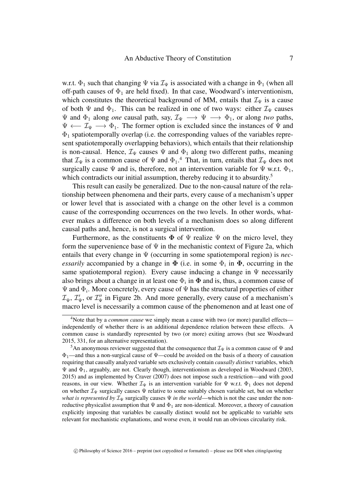w.r.t.  $\Phi_1$  such that changing  $\Psi$  via  $\mathcal{I}_{\Psi}$  is associated with a change in  $\Phi_1$  (when all off-path causes of  $\Phi_1$  are held fixed). In that case, Woodward's interventionism, which constitutes the theoretical background of [MM,](#page-4-2) entails that  $\mathcal{I}_{\Psi}$  is a cause of both  $\Psi$  and  $\Phi_1$ . This can be realized in one of two ways: either  $\mathcal{I}_{\Psi}$  causes  $\Psi$  and  $\Phi_1$  along *one* causal path, say,  $\mathcal{I}_{\Psi} \longrightarrow \Psi \longrightarrow \Phi_1$ , or along *two* paths,  $\Psi \leftarrow \mathcal{I}_{\Psi} \longrightarrow \Phi_1$ . The former option is excluded since the instances of  $\Psi$  and  $\Phi_1$  spatiotemporally overlap (i.e. the corresponding values of the variables represent spatiotemporally overlapping behaviors), which entails that their relationship is non-causal. Hence,  $\mathcal{I}_{\Psi}$  causes  $\Psi$  and  $\Phi_1$  along two different paths, meaning that  $\mathcal{I}_{\Psi}$  is a common cause of  $\Psi$  and  $\Phi_1$ .<sup>[4](#page-6-0)</sup> That, in turn, entails that  $\mathcal{I}_{\Psi}$  does not surgically cause  $\Psi$  and is, therefore, not an intervention variable for  $\Psi$  w.r.t.  $\Phi_1$ , which contradicts our initial assumption, thereby reducing it to absurdity.<sup>[5](#page-6-1)</sup>

This result can easily be generalized. Due to the non-causal nature of the relationship between phenomena and their parts, every cause of a mechanism's upper or lower level that is associated with a change on the other level is a common cause of the corresponding occurrences on the two levels. In other words, whatever makes a difference on both levels of a mechanism does so along different causal paths and, hence, is not a surgical intervention.

Furthermore, as the constituents  $\Phi$  of  $\Psi$  realize  $\Psi$  on the micro level, they form the supervenience base of  $\Psi$  in the mechanistic context of Figure [2a](#page-5-0), which entails that every change in Ψ (occurring in some spatiotemporal region) is *necessarily* accompanied by a change in  $\Phi$  (i.e. in some  $\Phi_i$  in  $\Phi$ , occurring in the same spatiotemporal region). Every cause inducing a change in  $\Psi$  necessarily also brings about a change in at least one  $\Phi_i$  in  $\Phi$  and is, thus, a common cause of  $\Psi$  and  $\Phi_i$ . More concretely, every cause of  $\Psi$  has the structural properties of either  $\mathcal{I}_{\Psi}$ ,  $\mathcal{I}'_{\Psi}$ , or  $\mathcal{I}''_{\Psi}$  in Figure [2b](#page-5-0). And more generally, every cause of a mechanism's macro level is necessarily a common cause of the phenomenon and at least one of

<span id="page-6-0"></span><sup>4</sup>Note that by a *common cause* we simply mean a cause with two (or more) parallel effects independently of whether there is an additional dependence relation between these effects. A common cause is standardly represented by two (or more) exiting arrows (but see [Woodward](#page-19-12) [2015,](#page-19-12) 331, for an alternative representation).

<span id="page-6-1"></span><sup>&</sup>lt;sup>5</sup>An anonymous reviewer suggested that the consequence that  $\mathcal{I}_{\Psi}$  is a common cause of  $\Psi$  and  $\Phi_1$ —and thus a non-surgical cause of  $\Psi$ —could be avoided on the basis of a theory of causation requiring that causally analyzed variable sets exclusively contain *causally distinct* variables, which  $\Psi$  and  $\Phi_1$ , arguably, are not. Clearly though, interventionism as developed in Woodward [\(2003,](#page-19-5) [2015\)](#page-19-12) and as implemented by [Craver \(2007\)](#page-19-0) does not impose such a restriction—and with good reasons, in our view. Whether  $\mathcal{I}_{\Psi}$  is an intervention variable for  $\Psi$  w.r.t.  $\Phi_1$  does not depend on whether  $\mathcal{I}_{\Psi}$  surgically causes  $\Psi$  relative to some suitably chosen variable set, but on whether *what is represented by*  $\mathcal{I}_{\Psi}$  surgically causes  $\Psi$  *in the world*—which is not the case under the nonreductive physicalist assumption that  $\Psi$  and  $\Phi_1$  are non-identical. Moreover, a theory of causation explicitly imposing that variables be causally distinct would not be applicable to variable sets relevant for mechanistic explanations, and worse even, it would run an obvious circularity risk.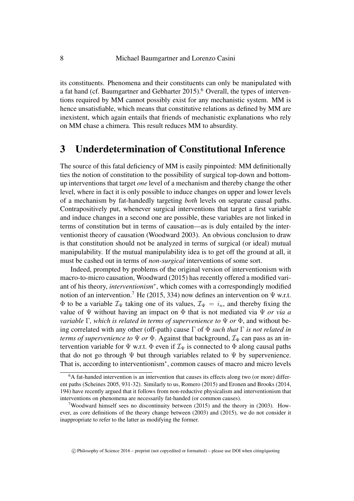its constituents. Phenomena and their constituents can only be manipulated with a fat hand (cf. Baumgartner and Gebharter  $2015$ ).<sup>[6](#page-7-1)</sup> Overall, the types of interventions required by [MM](#page-4-2) cannot possibly exist for any mechanistic system. [MM](#page-4-2) is hence unsatisfiable, which means that constitutive relations as defined by [MM](#page-4-2) are inexistent, which again entails that friends of mechanistic explanations who rely on [MM](#page-4-2) chase a chimera. This result reduces [MM](#page-4-2) to absurdity.

### <span id="page-7-0"></span>3 Underdetermination of Constitutional Inference

The source of this fatal deficiency of [MM](#page-4-2) is easily pinpointed: [MM](#page-4-2) definitionally ties the notion of constitution to the possibility of surgical top-down and bottomup interventions that target *one* level of a mechanism and thereby change the other level, where in fact it is only possible to induce changes on upper and lower levels of a mechanism by fat-handedly targeting *both* levels on separate causal paths. Contrapositively put, whenever surgical interventions that target a first variable and induce changes in a second one are possible, these variables are not linked in terms of constitution but in terms of causation—as is duly entailed by the interventionist theory of causation [\(Woodward 2003\)](#page-19-5). An obvious conclusion to draw is that constitution should not be analyzed in terms of surgical (or ideal) mutual manipulability. If the mutual manipulability idea is to get off the ground at all, it must be cashed out in terms of *non-surgical* interventions of some sort.

Indeed, prompted by problems of the original version of interventionism with macro-to-micro causation, [Woodward \(2015\)](#page-19-12) has recently offered a modified variant of his theory, *interventionism*<sup>∗</sup> , which comes with a correspondingly modified notion of an intervention.<sup>[7](#page-7-2)</sup> He [\(2015,](#page-19-12) 334) now defines an intervention on  $\Psi$  w.r.t.  $\Phi$  to be a variable  $\mathcal{I}_{\Psi}$  taking one of its values,  $\mathcal{I}_{\Psi} = i_n$ , and thereby fixing the value of Ψ without having an impact on Φ that is not mediated via Ψ *or via a variable* Γ*, which is related in terms of supervenience to* Ψ *or* Φ, and without being correlated with any other (off-path) cause Γ of Φ *such that* Γ *is not related in terms of supervenience to*  $\Psi$  *or*  $\Phi$ . Against that background,  $\mathcal{I}_{\Psi}$  can pass as an intervention variable for  $\Psi$  w.r.t.  $\Phi$  even if  $\mathcal{I}_{\Psi}$  is connected to  $\Phi$  along causal paths that do not go through  $\Psi$  but through variables related to  $\Psi$  by supervenience. That is, according to interventionism<sup>∗</sup> , common causes of macro and micro levels

c Philosophy of Science 2016 – preprint (not copyedited or formatted) – please use DOI when citing/quoting

<span id="page-7-1"></span><sup>&</sup>lt;sup>6</sup>A fat-handed intervention is an intervention that causes its effects along two (or more) different paths [\(Scheines 2005,](#page-19-13) 931-32). Similarly to us, [Romero \(2015\)](#page-19-14) and [Eronen and Brooks \(2014,](#page-19-15) 194) have recently argued that it follows from non-reductive physicalism and interventionism that interventions on phenomena are necessarily fat-handed (or common causes).

<span id="page-7-2"></span><sup>&</sup>lt;sup>7</sup>Woodward himself sees no discontinuity between  $(2015)$  and the theory in  $(2003)$ . However, as core definitions of the theory change between [\(2003\)](#page-19-5) and [\(2015\)](#page-19-12), we do not consider it inappropriate to refer to the latter as modifying the former.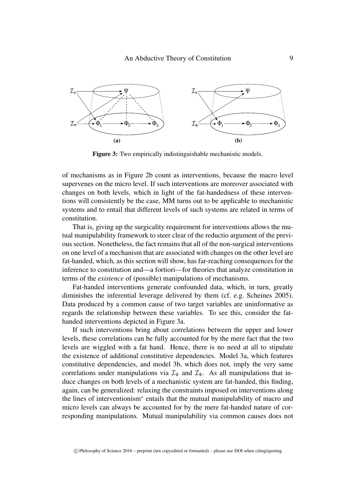<span id="page-8-0"></span>

Figure 3: Two empirically indistinguishable mechanistic models.

of mechanisms as in Figure [2b](#page-5-0) count as interventions, because the macro level supervenes on the micro level. If such interventions are moreover associated with changes on both levels, which in light of the fat-handedness of these interventions will consistently be the case, [MM](#page-4-2) turns out to be applicable to mechanistic systems and to entail that different levels of such systems are related in terms of constitution.

That is, giving up the surgicality requirement for interventions allows the mutual manipulability framework to steer clear of the reductio argument of the previous section. Nonetheless, the fact remains that all of the non-surgical interventions on one level of a mechanism that are associated with changes on the other level are fat-handed, which, as this section will show, has far-reaching consequences for the inference to constitution and—a fortiori—for theories that analyze constitution in terms of the *existence* of (possible) manipulations of mechanisms.

Fat-handed interventions generate confounded data, which, in turn, greatly diminishes the inferential leverage delivered by them (cf. e.g. [Scheines 2005\)](#page-19-13). Data produced by a common cause of two target variables are uninformative as regards the relationship between these variables. To see this, consider the fathanded interventions depicted in Figure [3a](#page-8-0).

If such interventions bring about correlations between the upper and lower levels, these correlations can be fully accounted for by the mere fact that the two levels are wiggled with a fat hand. Hence, there is no need at all to stipulate the existence of additional constitutive dependencies. Model [3a](#page-8-0), which features constitutive dependencies, and model [3b](#page-8-0), which does not, imply the very same correlations under manipulations via  $\mathcal{I}_{\Psi}$  and  $\mathcal{I}_{\Phi}$ . As all manipulations that induce changes on both levels of a mechanistic system are fat-handed, this finding, again, can be generalized: relaxing the constraints imposed on interventions along the lines of interventionism<sup>∗</sup> entails that the mutual manipulability of macro and micro levels can always be accounted for by the mere fat-handed nature of corresponding manipulations. Mutual manipulability via common causes does not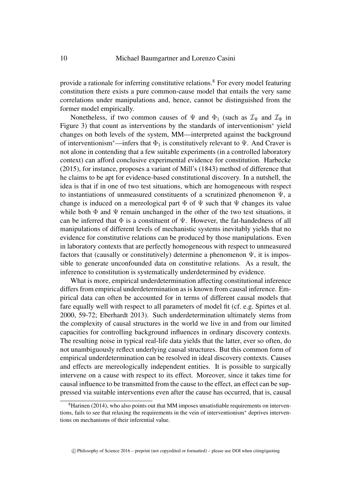provide a rationale for inferring constitutive relations.[8](#page-9-0) For every model featuring constitution there exists a pure common-cause model that entails the very same correlations under manipulations and, hence, cannot be distinguished from the former model empirically.

Nonetheless, if two common causes of  $\Psi$  and  $\Phi_1$  (such as  $\mathcal{I}_{\Psi}$  and  $\mathcal{I}_{\Phi}$  in Figure [3\)](#page-8-0) that count as interventions by the standards of interventionism<sup>∗</sup> yield changes on both levels of the system, [MM—](#page-4-2)interpreted against the background of interventionism<sup>∗</sup>—infers that  $\Phi_1$  is constitutively relevant to  $\Psi$ . And Craver is not alone in contending that a few suitable experiments (in a controlled laboratory context) can afford conclusive experimental evidence for constitution. [Harbecke](#page-19-16) [\(2015\)](#page-19-16), for instance, proposes a variant of Mill's [\(1843\)](#page-19-4) method of difference that he claims to be apt for evidence-based constitutional discovery. In a nutshell, the idea is that if in one of two test situations, which are homogeneous with respect to instantiations of unmeasured constituents of a scrutinized phenomenon Ψ, a change is induced on a mereological part  $\Phi$  of  $\Psi$  such that  $\Psi$  changes its value while both  $\Phi$  and  $\Psi$  remain unchanged in the other of the two test situations, it can be inferred that  $\Phi$  is a constituent of  $\Psi$ . However, the fat-handedness of all manipulations of different levels of mechanistic systems inevitably yields that no evidence for constitutive relations can be produced by those manipulations. Even in laboratory contexts that are perfectly homogeneous with respect to unmeasured factors that (causally or constitutively) determine a phenomenon  $\Psi$ , it is impossible to generate unconfounded data on constitutive relations. As a result, the inference to constitution is systematically underdetermined by evidence.

What is more, empirical underdetermination affecting constitutional inference differs from empirical underdetermination as is known from causal inference. Empirical data can often be accounted for in terms of different causal models that fare equally well with respect to all parameters of model fit (cf. e.g. [Spirtes et al.](#page-19-17) [2000,](#page-19-17) 59-72; [Eberhardt 2013\)](#page-19-18). Such underdetermination ultimately stems from the complexity of causal structures in the world we live in and from our limited capacities for controlling background influences in ordinary discovery contexts. The resulting noise in typical real-life data yields that the latter, ever so often, do not unambiguously reflect underlying causal structures. But this common form of empirical underdetermination can be resolved in ideal discovery contexts. Causes and effects are mereologically independent entities. It is possible to surgically intervene on a cause with respect to its effect. Moreover, since it takes time for causal influence to be transmitted from the cause to the effect, an effect can be suppressed via suitable interventions even after the cause has occurred, that is, causal

<span id="page-9-0"></span><sup>&</sup>lt;sup>8</sup>[Harinen \(2014\)](#page-19-19), who also points out that [MM](#page-4-2) imposes unsatisfiable requirements on interventions, fails to see that relaxing the requirements in the vein of interventionism<sup>∗</sup> deprives interventions on mechanisms of their inferential value.

 $\degree$  Philosophy of Science 2016 – preprint (not copyedited or formatted) – please use DOI when citing/quoting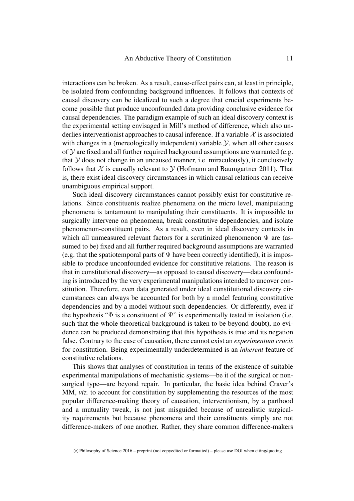interactions can be broken. As a result, cause-effect pairs can, at least in principle, be isolated from confounding background influences. It follows that contexts of causal discovery can be idealized to such a degree that crucial experiments become possible that produce unconfounded data providing conclusive evidence for causal dependencies. The paradigm example of such an ideal discovery context is the experimental setting envisaged in Mill's method of difference, which also underlies interventionist approaches to causal inference. If a variable  $\mathcal X$  is associated with changes in a (mereologically independent) variable  $\mathcal{Y}$ , when all other causes of  $Y$  are fixed and all further required background assumptions are warranted (e.g. that  $Y$  does not change in an uncaused manner, i.e. miraculously), it conclusively follows that X is causally relevant to  $\mathcal Y$  [\(Hofmann and Baumgartner 2011\)](#page-19-20). That is, there exist ideal discovery circumstances in which causal relations can receive unambiguous empirical support.

Such ideal discovery circumstances cannot possibly exist for constitutive relations. Since constituents realize phenomena on the micro level, manipulating phenomena is tantamount to manipulating their constituents. It is impossible to surgically intervene on phenomena, break constitutive dependencies, and isolate phenomenon-constituent pairs. As a result, even in ideal discovery contexts in which all unmeasured relevant factors for a scrutinized phenomenon  $\Psi$  are (assumed to be) fixed and all further required background assumptions are warranted (e.g. that the spatiotemporal parts of  $\Psi$  have been correctly identified), it is impossible to produce unconfounded evidence for constitutive relations. The reason is that in constitutional discovery—as opposed to causal discovery—data confounding is introduced by the very experimental manipulations intended to uncover constitution. Therefore, even data generated under ideal constitutional discovery circumstances can always be accounted for both by a model featuring constitutive dependencies and by a model without such dependencies. Or differently, even if the hypothesis " $\Phi$  is a constituent of  $\Psi$ " is experimentally tested in isolation (i.e. such that the whole theoretical background is taken to be beyond doubt), no evidence can be produced demonstrating that this hypothesis is true and its negation false. Contrary to the case of causation, there cannot exist an *experimentum crucis* for constitution. Being experimentally underdetermined is an *inherent* feature of constitutive relations.

This shows that analyses of constitution in terms of the existence of suitable experimental manipulations of mechanistic systems—be it of the surgical or nonsurgical type—are beyond repair. In particular, the basic idea behind Craver's [MM,](#page-4-2) *viz*, to account for constitution by supplementing the resources of the most popular difference-making theory of causation, interventionism, by a parthood and a mutuality tweak, is not just misguided because of unrealistic surgicality requirements but because phenomena and their constituents simply are not difference-makers of one another. Rather, they share common difference-makers

c Philosophy of Science 2016 – preprint (not copyedited or formatted) – please use DOI when citing/quoting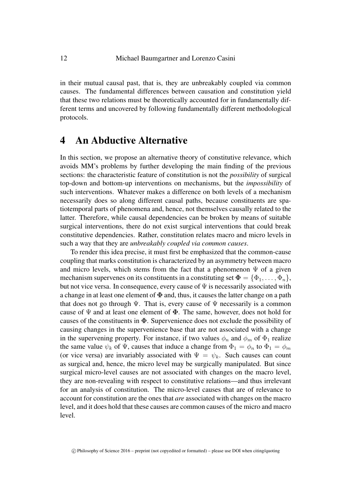in their mutual causal past, that is, they are unbreakably coupled via common causes. The fundamental differences between causation and constitution yield that these two relations must be theoretically accounted for in fundamentally different terms and uncovered by following fundamentally different methodological protocols.

#### <span id="page-11-0"></span>4 An Abductive Alternative

In this section, we propose an alternative theory of constitutive relevance, which avoids [MM'](#page-4-2)s problems by further developing the main finding of the previous sections: the characteristic feature of constitution is not the *possibility* of surgical top-down and bottom-up interventions on mechanisms, but the *impossibility* of such interventions. Whatever makes a difference on both levels of a mechanism necessarily does so along different causal paths, because constituents are spatiotemporal parts of phenomena and, hence, not themselves causally related to the latter. Therefore, while causal dependencies can be broken by means of suitable surgical interventions, there do not exist surgical interventions that could break constitutive dependencies. Rather, constitution relates macro and micro levels in such a way that they are *unbreakably coupled via common causes*.

To render this idea precise, it must first be emphasized that the common-cause coupling that marks constitution is characterized by an asymmetry between macro and micro levels, which stems from the fact that a phenomenon  $\Psi$  of a given mechanism supervenes on its constituents in a constituting set  $\Phi = {\Phi_1, \ldots, \Phi_n}$ , but not vice versa. In consequence, every cause of  $\Psi$  is necessarily associated with a change in at least one element of  $\Phi$  and, thus, it causes the latter change on a path that does not go through  $\Psi$ . That is, every cause of  $\Psi$  necessarily is a common cause of  $\Psi$  and at least one element of  $\Phi$ . The same, however, does not hold for causes of the constituents in  $\Phi$ . Supervenience does not exclude the possibility of causing changes in the supervenience base that are not associated with a change in the supervening property. For instance, if two values  $\phi_n$  and  $\phi_m$  of  $\Phi_1$  realize the same value  $\psi_k$  of  $\Psi$ , causes that induce a change from  $\Phi_1 = \phi_n$  to  $\Phi_1 = \phi_m$ (or vice versa) are invariably associated with  $\Psi = \psi_k$ . Such causes can count as surgical and, hence, the micro level may be surgically manipulated. But since surgical micro-level causes are not associated with changes on the macro level, they are non-revealing with respect to constitutive relations—and thus irrelevant for an analysis of constitution. The micro-level causes that are of relevance to account for constitution are the ones that *are* associated with changes on the macro level, and it does hold that these causes are common causes of the micro and macro level.

c Philosophy of Science 2016 – preprint (not copyedited or formatted) – please use DOI when citing/quoting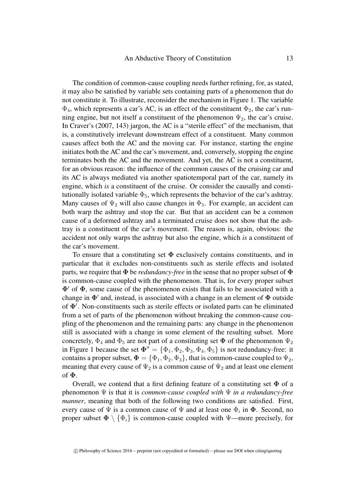The condition of common-cause coupling needs further refining, for, as stated, it may also be satisfied by variable sets containing parts of a phenomenon that do not constitute it. To illustrate, reconsider the mechanism in Figure [1.](#page-3-0) The variable  $\Phi_4$ , which represents a car's AC, is an effect of the constituent  $\Phi_2$ , the car's running engine, but not itself a constituent of the phenomenon  $\Psi_2$ , the car's cruise. In Craver's [\(2007,](#page-19-0) 143) jargon, the AC is a "sterile effect" of the mechanism, that is, a constitutively irrelevant downstream effect of a constituent. Many common causes affect both the AC and the moving car. For instance, starting the engine initiates both the AC and the car's movement, and, conversely, stopping the engine terminates both the AC and the movement. And yet, the AC is not a constituent, for an obvious reason: the influence of the common causes of the cruising car and its AC is always mediated via another spatiotemporal part of the car, namely its engine, which *is* a constituent of the cruise. Or consider the causally and constitutionally isolated variable  $\Phi_5$ , which represents the behavior of the car's ashtray. Many causes of  $\Psi_2$  will also cause changes in  $\Phi_5$ . For example, an accident can both warp the ashtray and stop the car. But that an accident can be a common cause of a deformed ashtray and a terminated cruise does not show that the ashtray is a constituent of the car's movement. The reason is, again, obvious: the accident not only warps the ashtray but also the engine, which *is* a constituent of the car's movement.

To ensure that a constituting set  $\Phi$  exclusively contains constituents, and in particular that it excludes non-constituents such as sterile effects and isolated parts, we require that  $\Phi$  be *redundancy-free* in the sense that no proper subset of  $\Phi$ is common-cause coupled with the phenomenon. That is, for every proper subset  $\Phi'$  of  $\Phi$ , some cause of the phenomenon exists that fails to be associated with a change in  $\Phi'$  and, instead, is associated with a change in an element of  $\Phi$  outside of  $\Phi'$ . Non-constituents such as sterile effects or isolated parts can be eliminated from a set of parts of the phenomenon without breaking the common-cause coupling of the phenomenon and the remaining parts: any change in the phenomenon still is associated with a change in some element of the resulting subset. More concretely,  $\Phi_4$  and  $\Phi_5$  are not part of a constituting set  $\Phi$  of the phenomenon  $\Psi_2$ in Figure [1](#page-3-0) because the set  $\Phi'' = {\Phi_1, \Phi_2, \Phi_3, \Phi_4, \Phi_5}$  is not redundancy-free: it contains a proper subset,  $\Phi = {\Phi_1, \Phi_2, \Phi_3}$ , that is common-cause coupled to  $\Psi_2$ , meaning that every cause of  $\Psi_2$  is a common cause of  $\Psi_2$  and at least one element of Φ.

Overall, we contend that a first defining feature of a constituting set  $\Phi$  of a phenomenon Ψ is that it is *common-cause coupled with* Ψ *in a redundancy-free manner*, meaning that both of the following two conditions are satisfied. First, every cause of  $\Psi$  is a common cause of  $\Psi$  and at least one  $\Phi_i$  in  $\Phi$ . Second, no proper subset  $\Phi \setminus {\Phi_i}$  is common-cause coupled with Ψ—more precisely, for

c Philosophy of Science 2016 – preprint (not copyedited or formatted) – please use DOI when citing/quoting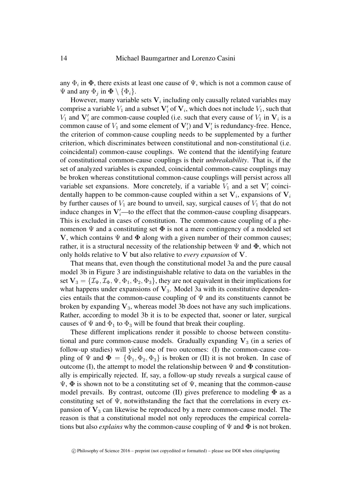any  $\Phi_i$  in  $\Phi$ , there exists at least one cause of  $\Psi$ , which is not a common cause of  $\Psi$  and any  $\Phi_j$  in  $\mathbf{\Phi} \setminus {\Phi_i}$ .

However, many variable sets  $V_i$  including only causally related variables may comprise a variable  $V_1$  and a subset  $V_i'$  of  $V_i$ , which does not include  $V_1$ , such that  $V_1$  and  $V'_i$  are common-cause coupled (i.e. such that every cause of  $V_1$  in  $V_i$  is a common cause of  $V_1$  and some element of  $V_i'$ ) and  $V_i'$  is redundancy-free. Hence, the criterion of common-cause coupling needs to be supplemented by a further criterion, which discriminates between constitutional and non-constitutional (i.e. coincidental) common-cause couplings. We contend that the identifying feature of constitutional common-cause couplings is their *unbreakability*. That is, if the set of analyzed variables is expanded, coincidental common-cause couplings may be broken whereas constitutional common-cause couplings will persist across all variable set expansions. More concretely, if a variable  $V_1$  and a set  $V_i$  coincidentally happen to be common-cause coupled within a set  $V_i$ , expansions of  $V_i$ by further causes of  $V_1$  are bound to unveil, say, surgical causes of  $V_1$  that do not induce changes in  $V_i'$ —to the effect that the common-cause coupling disappears. This is excluded in cases of constitution. The common-cause coupling of a phenomenon  $\Psi$  and a constituting set  $\Phi$  is not a mere contingency of a modeled set V, which contains  $\Psi$  and  $\Phi$  along with a given number of their common causes; rather, it is a structural necessity of the relationship between  $\Psi$  and  $\Phi$ , which not only holds relative to V but also relative to *every expansion* of V.

That means that, even though the constitutional model [3a](#page-8-0) and the pure causal model [3b](#page-8-0) in Figure [3](#page-8-0) are indistinguishable relative to data on the variables in the set  $V_3 = \{ \mathcal{I}_{\Psi}, \mathcal{I}_{\Phi}, \Psi, \Phi_1, \Phi_2, \Phi_3 \}$ , they are not equivalent in their implications for what happens under expansions of  $V_3$ . Model [3a](#page-8-0) with its constitutive dependencies entails that the common-cause coupling of  $\Psi$  and its constituents cannot be broken by expanding  $V_3$ , whereas model [3b](#page-8-0) does not have any such implications. Rather, according to model [3b](#page-8-0) it is to be expected that, sooner or later, surgical causes of  $\Psi$  and  $\Phi_1$  to  $\Phi_3$  will be found that break their coupling.

These different implications render it possible to choose between constitutional and pure common-cause models. Gradually expanding  $V_3$  (in a series of follow-up studies) will yield one of two outcomes: (I) the common-cause coupling of  $\Psi$  and  $\Phi = {\Phi_1, \Phi_2, \Phi_3}$  is broken or (II) it is not broken. In case of outcome (I), the attempt to model the relationship between  $\Psi$  and  $\Phi$  constitutionally is empirically rejected. If, say, a follow-up study reveals a surgical cause of  $\Psi$ ,  $\Phi$  is shown not to be a constituting set of  $\Psi$ , meaning that the common-cause model prevails. By contrast, outcome (II) gives preference to modeling  $\Phi$  as a constituting set of  $\Psi$ , notwithstanding the fact that the correlations in every expansion of  $V_3$  can likewise be reproduced by a mere common-cause model. The reason is that a constitutional model not only reproduces the empirical correlations but also *explains* why the common-cause coupling of  $\Psi$  and  $\Phi$  is not broken.

 $\degree$  Philosophy of Science 2016 – preprint (not copyedited or formatted) – please use DOI when citing/quoting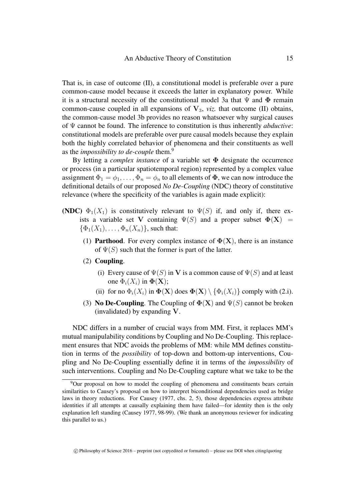That is, in case of outcome (II), a constitutional model is preferable over a pure common-cause model because it exceeds the latter in explanatory power. While it is a structural necessity of the constitutional model [3a](#page-8-0) that  $\Psi$  and  $\Phi$  remain common-cause coupled in all expansions of  $V_3$ , *viz*. that outcome (II) obtains, the common-cause model [3b](#page-8-0) provides no reason whatsoever why surgical causes of Ψ cannot be found. The inference to constitution is thus inherently *abductive*: constitutional models are preferable over pure causal models because they explain both the highly correlated behavior of phenomena and their constituents as well as the *impossibility to de-couple* them.[9](#page-14-0)

By letting a *complex instance* of a variable set Φ designate the occurrence or process (in a particular spatiotemporal region) represented by a complex value assignment  $\Phi_1 = \phi_1, \ldots, \Phi_n = \phi_n$  to all elements of  $\Phi$ , we can now introduce the definitional details of our proposed *No De-Coupling* [\(NDC\)](#page-14-1) theory of constitutive relevance (where the specificity of the variables is again made explicit):

- <span id="page-14-1"></span>(NDC)  $\Phi_1(X_1)$  is constitutively relevant to  $\Psi(S)$  if, and only if, there exists a variable set V containing  $\Psi(S)$  and a proper subset  $\Phi(X)$  =  $\{\Phi_1(X_1), \ldots, \Phi_n(X_n)\}\)$ , such that:
	- (1) **Parthood.** For every complex instance of  $\Phi(X)$ , there is an instance of  $\Psi(S)$  such that the former is part of the latter.
	- (2) Coupling.
		- (i) Every cause of  $\Psi(S)$  in V is a common cause of  $\Psi(S)$  and at least one  $\Phi_i(X_i)$  in  $\Phi(\mathbf{X});$
		- (ii) for no  $\Phi_i(X_i)$  in  $\Phi(\mathbf{X})$  does  $\Phi(\mathbf{X}) \setminus \{\Phi_i(X_i)\}\)$  comply with (2.i).
	- (3) **No De-Coupling.** The Coupling of  $\Phi(X)$  and  $\Psi(S)$  cannot be broken (invalidated) by expanding V.

[NDC](#page-14-1) differs in a number of crucial ways from [MM.](#page-4-2) First, it replaces [MM'](#page-4-2)s mutual manipulability conditions by [Coupling](#page-14-1) and [No De-Coupling.](#page-14-1) This replacement ensures that [NDC](#page-14-1) avoids the problems of [MM:](#page-4-2) while [MM](#page-4-2) defines constitution in terms of the *possibility* of top-down and bottom-up interventions, [Cou](#page-14-1)[pling](#page-14-1) and [No De-Coupling](#page-14-1) essentially define it in terms of the *impossibility* of such interventions. [Coupling](#page-14-1) and [No De-Coupling](#page-14-1) capture what we take to be the

<span id="page-14-0"></span><sup>9</sup>Our proposal on how to model the coupling of phenomena and constituents bears certain similarities to Causey's proposal on how to interpret biconditional dependencies used as bridge laws in theory reductions. For [Causey \(1977,](#page-18-3) chs. 2, 5), those dependencies express attribute identities if all attempts at causally explaining them have failed—for identity then is the only explanation left standing [\(Causey 1977,](#page-18-3) 98-99). (We thank an anonymous reviewer for indicating this parallel to us.)

 $\degree$  Philosophy of Science 2016 – preprint (not copyedited or formatted) – please use DOI when citing/quoting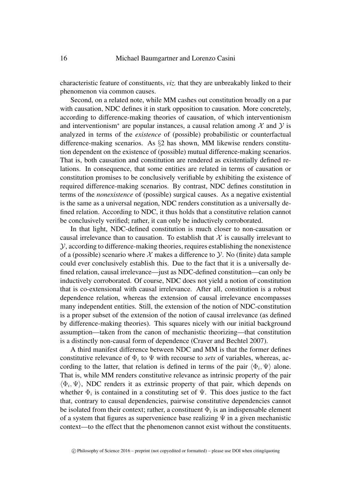characteristic feature of constituents, *viz.* that they are unbreakably linked to their phenomenon via common causes.

Second, on a related note, while [MM](#page-4-2) cashes out constitution broadly on a par with causation, [NDC](#page-14-1) defines it in stark opposition to causation. More concretely, according to difference-making theories of causation, of which interventionism and interventionism<sup>\*</sup> are popular instances, a causal relation among  $\mathcal X$  and  $\mathcal Y$  is analyzed in terms of the *existence* of (possible) probabilistic or counterfactual difference-making scenarios. As §[2](#page-2-0) has shown, [MM](#page-4-2) likewise renders constitution dependent on the existence of (possible) mutual difference-making scenarios. That is, both causation and constitution are rendered as existentially defined relations. In consequence, that some entities are related in terms of causation or constitution promises to be conclusively verifiable by exhibiting the existence of required difference-making scenarios. By contrast, [NDC](#page-14-1) defines constitution in terms of the *nonexistence* of (possible) surgical causes. As a negative existential is the same as a universal negation, [NDC](#page-14-1) renders constitution as a universally defined relation. According to [NDC,](#page-14-1) it thus holds that a constitutive relation cannot be conclusively verified; rather, it can only be inductively corroborated.

In that light, [NDC-](#page-14-1)defined constitution is much closer to non-causation or causal irrelevance than to causation. To establish that  $X$  is causally irrelevant to  $\mathcal Y$ , according to difference-making theories, requires establishing the nonexistence of a (possible) scenario where  $X$  makes a difference to  $Y$ . No (finite) data sample could ever conclusively establish this. Due to the fact that it is a universally defined relation, causal irrelevance—just as [NDC-](#page-14-1)defined constitution—can only be inductively corroborated. Of course, [NDC](#page-14-1) does not yield a notion of constitution that is co-extensional with causal irrelevance. After all, constitution is a robust dependence relation, whereas the extension of causal irrelevance encompasses many independent entities. Still, the extension of the notion of [NDC-](#page-14-1)constitution is a proper subset of the extension of the notion of causal irrelevance (as defined by difference-making theories). This squares nicely with our initial background assumption—taken from the canon of mechanistic theorizing—that constitution is a distinctly non-causal form of dependence [\(Craver and Bechtel 2007\)](#page-19-3).

A third manifest difference between [NDC](#page-14-1) and [MM](#page-4-2) is that the former defines constitutive relevance of  $\Phi_i$  to  $\Psi$  with recourse to *sets* of variables, whereas, according to the latter, that relation is defined in terms of the pair  $\langle \Phi_i, \Psi \rangle$  alone. That is, while [MM](#page-4-2) renders constitutive relevance as intrinsic property of the pair  $\langle \Phi_i, \Psi \rangle$ , [NDC](#page-14-1) renders it as extrinsic property of that pair, which depends on whether  $\Phi_i$  is contained in a constituting set of  $\Psi$ . This does justice to the fact that, contrary to causal dependencies, pairwise constitutive dependencies cannot be isolated from their context; rather, a constituent  $\Phi_i$  is an indispensable element of a system that figures as supervenience base realizing  $\Psi$  in a given mechanistic context—to the effect that the phenomenon cannot exist without the constituents.

c Philosophy of Science 2016 – preprint (not copyedited or formatted) – please use DOI when citing/quoting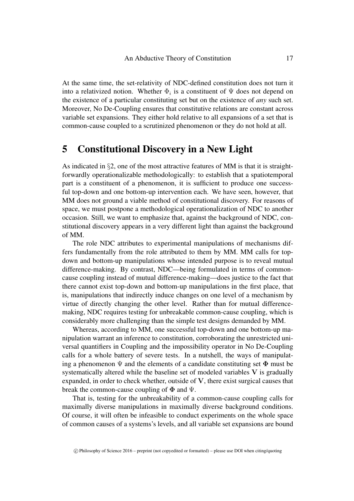At the same time, the set-relativity of [NDC-](#page-14-1)defined constitution does not turn it into a relativized notion. Whether  $\Phi_i$  is a constituent of  $\Psi$  does not depend on the existence of a particular constituting set but on the existence of *any* such set. Moreover, [No De-Coupling](#page-14-1) ensures that constitutive relations are constant across variable set expansions. They either hold relative to all expansions of a set that is common-cause coupled to a scrutinized phenomenon or they do not hold at all.

## <span id="page-16-0"></span>5 Constitutional Discovery in a New Light

As indicated in §[2,](#page-2-0) one of the most attractive features of [MM](#page-4-2) is that it is straightforwardly operationalizable methodologically: to establish that a spatiotemporal part is a constituent of a phenomenon, it is sufficient to produce one successful top-down and one bottom-up intervention each. We have seen, however, that [MM](#page-4-2) does not ground a viable method of constitutional discovery. For reasons of space, we must postpone a methodological operationalization of [NDC](#page-14-1) to another occasion. Still, we want to emphasize that, against the background of [NDC,](#page-14-1) constitutional discovery appears in a very different light than against the background of [MM.](#page-4-2)

The role [NDC](#page-14-1) attributes to experimental manipulations of mechanisms differs fundamentally from the role attributed to them by [MM.](#page-4-2) [MM](#page-4-2) calls for topdown and bottom-up manipulations whose intended purpose is to reveal mutual difference-making. By contrast, [NDC—](#page-14-1)being formulated in terms of commoncause coupling instead of mutual difference-making—does justice to the fact that there cannot exist top-down and bottom-up manipulations in the first place, that is, manipulations that indirectly induce changes on one level of a mechanism by virtue of directly changing the other level. Rather than for mutual differencemaking, [NDC](#page-14-1) requires testing for unbreakable common-cause coupling, which is considerably more challenging than the simple test designs demanded by [MM.](#page-4-2)

Whereas, according to [MM,](#page-4-2) one successful top-down and one bottom-up manipulation warrant an inference to constitution, corroborating the unrestricted universal quantifiers in [Coupling](#page-14-1) and the impossibility operator in [No De-Coupling](#page-14-1) calls for a whole battery of severe tests. In a nutshell, the ways of manipulating a phenomenon  $\Psi$  and the elements of a candidate constituting set  $\Phi$  must be systematically altered while the baseline set of modeled variables  $V$  is gradually expanded, in order to check whether, outside of V, there exist surgical causes that break the common-cause coupling of  $\Phi$  and  $\Psi$ .

That is, testing for the unbreakability of a common-cause coupling calls for maximally diverse manipulations in maximally diverse background conditions. Of course, it will often be infeasible to conduct experiments on the whole space of common causes of a systems's levels, and all variable set expansions are bound

c Philosophy of Science 2016 – preprint (not copyedited or formatted) – please use DOI when citing/quoting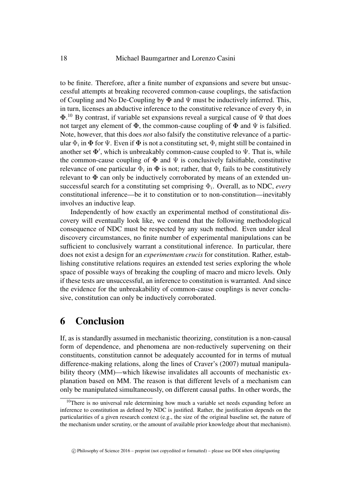to be finite. Therefore, after a finite number of expansions and severe but unsuccessful attempts at breaking recovered common-cause couplings, the satisfaction of [Coupling](#page-14-1) and [No De-Coupling](#page-14-1) by  $\Phi$  and  $\Psi$  must be inductively inferred. This, in turn, licenses an abductive inference to the constitutive relevance of every  $\Phi_i$  in  $\Phi$ .<sup>[10](#page-17-0)</sup> By contrast, if variable set expansions reveal a surgical cause of  $\Psi$  that does not target any element of  $\Phi$ , the common-cause coupling of  $\Phi$  and  $\Psi$  is falsified. Note, however, that this does *not* also falsify the constitutive relevance of a particular  $\Phi_i$  in  $\pmb{\Phi}$  for  $\Psi.$  Even if  $\pmb{\Phi}$  is not a constituting set,  $\Phi_i$  might still be contained in another set  $\Phi'$ , which is unbreakably common-cause coupled to  $\Psi$ . That is, while the common-cause coupling of  $\Phi$  and  $\Psi$  is conclusively falsifiable, constitutive relevance of one particular  $\Phi_i$  in  $\Phi$  is not; rather, that  $\Phi_i$  fails to be constitutively relevant to  $\Phi$  can only be inductively corroborated by means of an extended unsuccessful search for a constituting set comprising  $\Phi_i$ . Overall, as to [NDC,](#page-14-1) *every* constitutional inference—be it to constitution or to non-constitution—inevitably involves an inductive leap.

Independently of how exactly an experimental method of constitutional discovery will eventually look like, we contend that the following methodological consequence of [NDC](#page-14-1) must be respected by any such method. Even under ideal discovery circumstances, no finite number of experimental manipulations can be sufficient to conclusively warrant a constitutional inference. In particular, there does not exist a design for an *experimentum crucis* for constitution. Rather, establishing constitutive relations requires an extended test series exploring the whole space of possible ways of breaking the coupling of macro and micro levels. Only if these tests are unsuccessful, an inference to constitution is warranted. And since the evidence for the unbreakability of common-cause couplings is never conclusive, constitution can only be inductively corroborated.

#### 6 Conclusion

If, as is standardly assumed in mechanistic theorizing, constitution is a non-causal form of dependence, and phenomena are non-reductively supervening on their constituents, constitution cannot be adequately accounted for in terms of mutual difference-making relations, along the lines of Craver's [\(2007\)](#page-19-0) mutual manipulability theory [\(MM\)](#page-4-2)—which likewise invalidates all accounts of mechanistic explanation based on [MM.](#page-4-2) The reason is that different levels of a mechanism can only be manipulated simultaneously, on different causal paths. In other words, the

<span id="page-17-0"></span><sup>&</sup>lt;sup>10</sup>There is no universal rule determining how much a variable set needs expanding before an inference to constitution as defined by [NDC](#page-14-1) is justified. Rather, the justification depends on the particularities of a given research context (e.g., the size of the original baseline set, the nature of the mechanism under scrutiny, or the amount of available prior knowledge about that mechanism).

 $\degree$  Philosophy of Science 2016 – preprint (not copyedited or formatted) – please use DOI when citing/quoting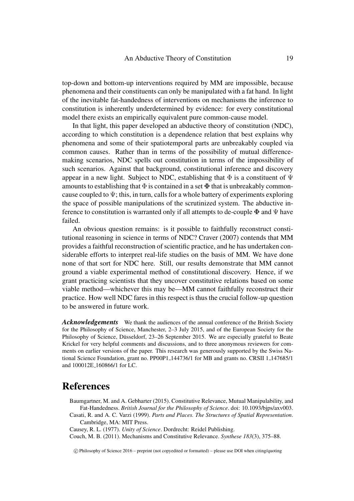top-down and bottom-up interventions required by [MM](#page-4-2) are impossible, because phenomena and their constituents can only be manipulated with a fat hand. In light of the inevitable fat-handedness of interventions on mechanisms the inference to constitution is inherently underdetermined by evidence: for every constitutional model there exists an empirically equivalent pure common-cause model.

In that light, this paper developed an abductive theory of constitution [\(NDC\)](#page-14-1), according to which constitution is a dependence relation that best explains why phenomena and some of their spatiotemporal parts are unbreakably coupled via common causes. Rather than in terms of the possibility of mutual differencemaking scenarios, [NDC](#page-14-1) spells out constitution in terms of the impossibility of such scenarios. Against that background, constitutional inference and discovery appear in a new light. Subject to [NDC,](#page-14-1) establishing that  $\Phi$  is a constituent of  $\Psi$ amounts to establishing that  $\Phi$  is contained in a set  $\Phi$  that is unbreakably commoncause coupled to  $\Psi$ ; this, in turn, calls for a whole battery of experiments exploring the space of possible manipulations of the scrutinized system. The abductive inference to constitution is warranted only if all attempts to de-couple  $\Phi$  and  $\Psi$  have failed.

An obvious question remains: is it possible to faithfully reconstruct constitutional reasoning in science in terms of [NDC?](#page-14-1) [Craver \(2007\)](#page-19-0) contends that [MM](#page-4-2) provides a faithful reconstruction of scientific practice, and he has undertaken considerable efforts to interpret real-life studies on the basis of [MM.](#page-4-2) We have done none of that sort for [NDC](#page-14-1) here. Still, our results demonstrate that [MM](#page-4-2) cannot ground a viable experimental method of constitutional discovery. Hence, if we grant practicing scientists that they uncover constitutive relations based on some viable method—whichever this may be[—MM](#page-4-2) cannot faithfully reconstruct their practice. How well [NDC](#page-14-1) fares in this respect is thus the crucial follow-up question to be answered in future work.

*Acknowledgements* We thank the audiences of the annual conference of the British Society for the Philosophy of Science, Manchester, 2–3 July 2015, and of the European Society for the Philosophy of Science, Düsseldorf, 23–26 September 2015. We are especially grateful to Beate Krickel for very helpful comments and discussions, and to three anonymous reviewers for comments on earlier versions of the paper. This research was generously supported by the Swiss National Science Foundation, grant no. PP00P1\_144736/1 for MB and grants no. CRSII 1\_147685/1 and 100012E 160866/1 for LC.

### References

- <span id="page-18-0"></span>Baumgartner, M. and A. Gebharter (2015). Constitutive Relevance, Mutual Manipulability, and Fat-Handedness. *British Journal for the Philosophy of Science*. doi: 10.1093/bjps/axv003.
- <span id="page-18-1"></span>Casati, R. and A. C. Varzi (1999). *Parts and Places. The Structures of Spatial Representation*. Cambridge, MA: MIT Press.

<span id="page-18-3"></span>Causey, R. L. (1977). *Unity of Science*. Dordrecht: Reidel Publishing.

<span id="page-18-2"></span>Couch, M. B. (2011). Mechanisms and Constitutive Relevance. *Synthese 183*(3), 375–88.

c Philosophy of Science 2016 – preprint (not copyedited or formatted) – please use DOI when citing/quoting